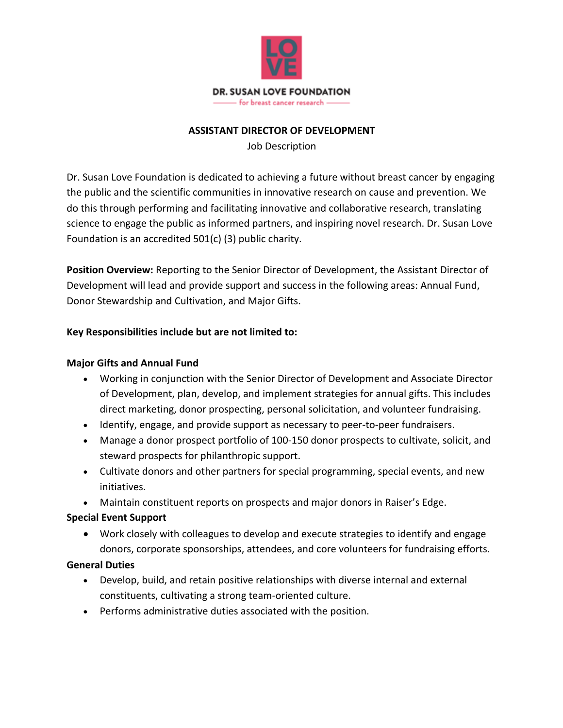

## **ASSISTANT DIRECTOR OF DEVELOPMENT**

Job Description

Dr. Susan Love Foundation is dedicated to achieving a future without breast cancer by engaging the public and the scientific communities in innovative research on cause and prevention. We do this through performing and facilitating innovative and collaborative research, translating science to engage the public as informed partners, and inspiring novel research. Dr. Susan Love Foundation is an accredited 501(c) (3) public charity.

**Position Overview:** Reporting to the Senior Director of Development, the Assistant Director of Development will lead and provide support and success in the following areas: Annual Fund, Donor Stewardship and Cultivation, and Major Gifts.

## **Key Responsibilities include but are not limited to:**

## **Major Gifts and Annual Fund**

- Working in conjunction with the Senior Director of Development and Associate Director of Development, plan, develop, and implement strategies for annual gifts. This includes direct marketing, donor prospecting, personal solicitation, and volunteer fundraising.
- Identify, engage, and provide support as necessary to peer-to-peer fundraisers.
- Manage a donor prospect portfolio of 100-150 donor prospects to cultivate, solicit, and steward prospects for philanthropic support.
- Cultivate donors and other partners for special programming, special events, and new initiatives.
- Maintain constituent reports on prospects and major donors in Raiser's Edge.

# **Special Event Support**

• Work closely with colleagues to develop and execute strategies to identify and engage donors, corporate sponsorships, attendees, and core volunteers for fundraising efforts.

#### **General Duties**

- Develop, build, and retain positive relationships with diverse internal and external constituents, cultivating a strong team-oriented culture.
- Performs administrative duties associated with the position.